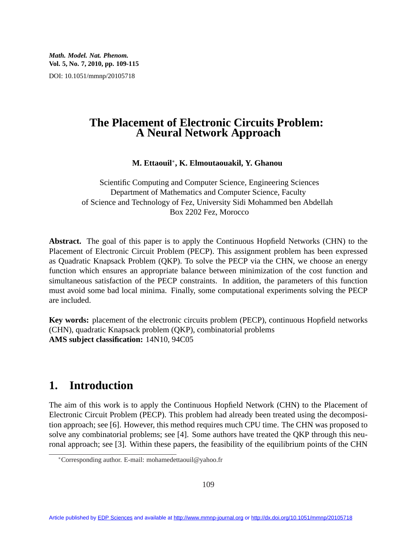*Math. Model. Nat. Phenom.* **Vol. 5, No. 7, 2010, pp. 109-115**

DOI: 10.1051/mmnp/20105718

### **The Placement of Electronic Circuits Problem: A Neural Network Approach**

#### **M. Ettaouil**<sup>∗</sup> **, K. Elmoutaouakil, Y. Ghanou**

Scientific Computing and Computer Science, Engineering Sciences Department of Mathematics and Computer Science, Faculty of Science and Technology of Fez, University Sidi Mohammed ben Abdellah Box 2202 Fez, Morocco

**Abstract.** The goal of this paper is to apply the Continuous Hopfield Networks (CHN) to the Placement of Electronic Circuit Problem (PECP). This assignment problem has been expressed as Quadratic Knapsack Problem (QKP). To solve the PECP via the CHN, we choose an energy function which ensures an appropriate balance between minimization of the cost function and simultaneous satisfaction of the PECP constraints. In addition, the parameters of this function must avoid some bad local minima. Finally, some computational experiments solving the PECP are included.

**Key words:** placement of the electronic circuits problem (PECP), continuous Hopfield networks (CHN), quadratic Knapsack problem (QKP), combinatorial problems **AMS subject classification:** 14N10, 94C05

### **1. Introduction**

The aim of this work is to apply the Continuous Hopfield Network (CHN) to the Placement of Electronic Circuit Problem (PECP). This problem had already been treated using the decomposition approach; see [6]. However, this method requires much CPU time. The CHN was proposed to solve any combinatorial problems; see [4]. Some authors have treated the QKP through this neuronal approach; see [3]. Within these papers, the feasibility of the equilibrium points of the CHN

<sup>∗</sup>Corresponding author. E-mail: mohamedettaouil@yahoo.fr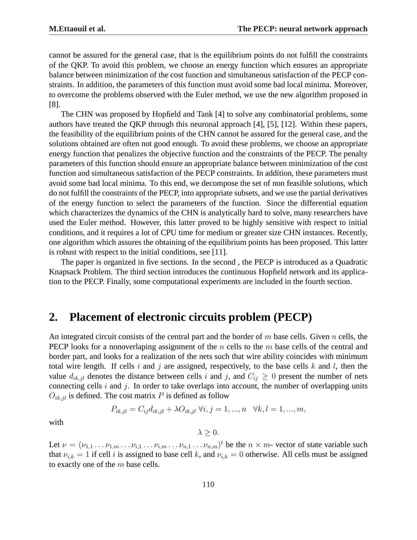cannot be assured for the general case, that is the equilibrium points do not fulfill the constraints of the QKP. To avoid this problem, we choose an energy function which ensures an appropriate balance between minimization of the cost function and simultaneous satisfaction of the PECP constraints. In addition, the parameters of this function must avoid some bad local minima. Moreover, to overcome the problems observed with the Euler method, we use the new algorithm proposed in [8].

The CHN was proposed by Hopfield and Tank [4] to solve any combinatorial problems, some authors have treated the QKP through this neuronal approach [4], [5], [12]. Within these papers, the feasibility of the equilibrium points of the CHN cannot be assured for the general case, and the solutions obtained are often not good enough. To avoid these problems, we choose an appropriate energy function that penalizes the objective function and the constraints of the PECP. The penalty parameters of this function should ensure an appropriate balance between minimization of the cost function and simultaneous satisfaction of the PECP constraints. In addition, these parameters must avoid some bad local minima. To this end, we decompose the set of non feasible solutions, which do not fulfill the constraints of the PECP, into appropriate subsets, and we use the partial derivatives of the energy function to select the parameters of the function. Since the differential equation which characterizes the dynamics of the CHN is analytically hard to solve, many researchers have used the Euler method. However, this latter proved to be highly sensitive with respect to initial conditions, and it requires a lot of CPU time for medium or greater size CHN instances. Recently, one algorithm which assures the obtaining of the equilibrium points has been proposed. This latter is robust with respect to the initial conditions, see [11].

The paper is organized in five sections. In the second , the PECP is introduced as a Quadratic Knapsack Problem. The third section introduces the continuous Hopfield network and its application to the PECP. Finally, some computational experiments are included in the fourth section.

### **2. Placement of electronic circuits problem (PECP)**

An integrated circuit consists of the central part and the border of  $m$  base cells. Given  $n$  cells, the PECP looks for a nonoverlaping assignment of the  $n$  cells to the  $m$  base cells of the central and border part, and looks for a realization of the nets such that wire ability coincides with minimum total wire length. If cells i and j are assigned, respectively, to the base cells  $k$  and  $l$ , then the value  $d_{ik,jl}$  denotes the distance between cells i and j, and  $C_{ij} \geq 0$  present the number of nets connecting cells  $i$  and  $j$ . In order to take overlaps into account, the number of overlapping units  $O_{ik,jl}$  is defined. The cost matrix P is defined as follow

$$
P_{ik,jl} = C_{ij}d_{ik,jl} + \lambda O_{ik,jl} \,\forall i, j = 1, ..., n \quad \forall k, l = 1, ..., m,
$$

with

 $\lambda \geq 0$ .

Let  $\nu = (\nu_{1,1} \dots \nu_{1,m} \dots \nu_{i,1} \dots \nu_{i,m} \dots \nu_{n,1} \dots \nu_{n,m})^t$  be the  $n \times m$ - vector of state variable such that  $\nu_{i,k} = 1$  if cell i is assigned to base cell k, and  $\nu_{i,k} = 0$  otherwise. All cells must be assigned to exactly one of the  $m$  base cells.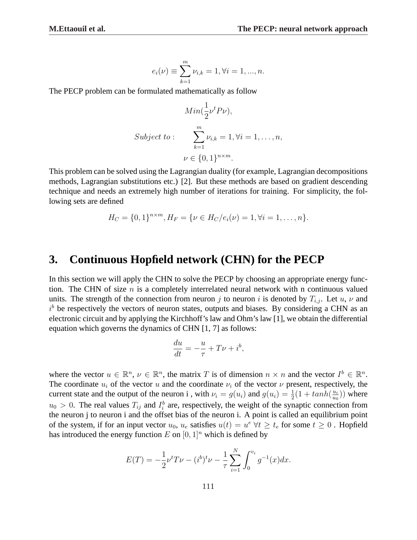$$
e_i(\nu) \equiv \sum_{k=1}^m \nu_{i,k} = 1, \forall i = 1, ..., n.
$$

The PECP problem can be formulated mathematically as follow

$$
Min(\frac{1}{2}\nu^t P \nu),
$$
  
Subject to: 
$$
\sum_{k=1}^m \nu_{i,k} = 1, \forall i = 1, ..., n,
$$

$$
\nu \in \{0, 1\}^{n \times m}.
$$

This problem can be solved using the Lagrangian duality (for example, Lagrangian decompositions methods, Lagrangian substitutions etc.) [2]. But these methods are based on gradient descending technique and needs an extremely high number of iterations for training. For simplicity, the following sets are defined

$$
H_C = \{0,1\}^{n \times m}, H_F = \{\nu \in H_C/e_i(\nu) = 1, \forall i = 1, \dots, n\}.
$$

### **3. Continuous Hopfield network (CHN) for the PECP**

In this section we will apply the CHN to solve the PECP by choosing an appropriate energy function. The CHN of size  $n$  is a completely interrelated neural network with n continuous valued units. The strength of the connection from neuron j to neuron i is denoted by  $T_{i,j}$ . Let  $u, v$  and  $i<sup>b</sup>$  be respectively the vectors of neuron states, outputs and biases. By considering a CHN as an electronic circuit and by applying the Kirchhoff's law and Ohm's law [1], we obtain the differential equation which governs the dynamics of CHN [1, 7] as follows:

$$
\frac{du}{dt} = -\frac{u}{\tau} + T\nu + i^b,
$$

where the vector  $u \in \mathbb{R}^n$ ,  $\nu \in \mathbb{R}^n$ , the matrix T is of dimension  $n \times n$  and the vector  $I^b \in \mathbb{R}^n$ . The coordinate  $u_i$  of the vector u and the coordinate  $\nu_i$  of the vector  $\nu$  present, respectively, the current state and the output of the neuron i, with  $\nu_i = g(u_i)$  and  $g(u_i) = \frac{1}{2}(1 + \tanh(\frac{u_i}{u_0}))$  $\frac{u_i}{u_0})$ ) where  $u_0 > 0$ . The real values  $T_{ij}$  and  $I_i^b$  are, respectively, the weight of the synaptic connection from the neuron j to neuron i and the offset bias of the neuron i. A point is called an equilibrium point of the system, if for an input vector  $u_0$ ,  $u_e$  satisfies  $u(t) = u^e \forall t \ge t_e$  for some  $t \ge 0$ . Hopfield has introduced the energy function E on  $[0, 1]^n$  which is defined by

$$
E(T) = -\frac{1}{2}\nu^t T \nu - (i^b)^t \nu - \frac{1}{\tau} \sum_{i=1}^N \int_0^{v_i} g^{-1}(x) dx.
$$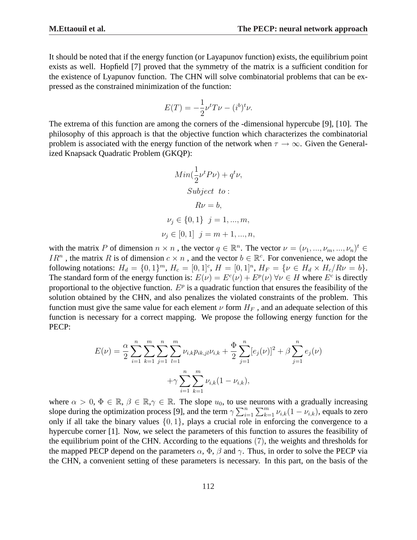It should be noted that if the energy function (or Layapunov function) exists, the equilibrium point exists as well. Hopfield [7] proved that the symmetry of the matrix is a sufficient condition for the existence of Lyapunov function. The CHN will solve combinatorial problems that can be expressed as the constrained minimization of the function:

$$
E(T) = -\frac{1}{2}\nu^t T \nu - (i^b)^t \nu.
$$

The extrema of this function are among the corners of the -dimensional hypercube [9], [10]. The philosophy of this approach is that the objective function which characterizes the combinatorial problem is associated with the energy function of the network when  $\tau \to \infty$ . Given the Generalized Knapsack Quadratic Problem (GKQP):

$$
Min(\frac{1}{2}\nu^t P \nu) + q^t \nu,
$$
  
\n
$$
Subject \t to :
$$
  
\n
$$
R\nu = b,
$$
  
\n
$$
\nu_j \in \{0, 1\} \t j = 1, ..., m,
$$
  
\n
$$
\nu_j \in [0, 1] \t j = m + 1, ..., n,
$$

with the matrix P of dimension  $n \times n$ , the vector  $q \in \mathbb{R}^n$ . The vector  $\nu = (\nu_1, ..., \nu_m, ..., \nu_n)^t \in$ IR<sup>n</sup>, the matrix R is of dimension  $c \times n$ , and the vector  $b \in \mathbb{R}^c$ . For convenience, we adopt the following notations:  $H_d = \{0, 1\}^m$ ,  $H_c = [0, 1]^c$ ,  $H = [0, 1]^n$ ,  $H_F = \{ \nu \in H_d \times H_c / R \nu = b \}.$ The standard form of the energy function is:  $E(\nu) = E^c(\nu) + E^p(\nu)$   $\forall \nu \in H$  where  $E^c$  is directly proportional to the objective function.  $E^p$  is a quadratic function that ensures the feasibility of the solution obtained by the CHN, and also penalizes the violated constraints of the problem. This function must give the same value for each element  $\nu$  form  $H_F$ , and an adequate selection of this function is necessary for a correct mapping. We propose the following energy function for the PECP:

$$
E(\nu) = \frac{\alpha}{2} \sum_{i=1}^{n} \sum_{k=1}^{m} \sum_{j=1}^{n} \sum_{l=1}^{m} \nu_{i,k} p_{ik,jl} \nu_{i,k} + \frac{\Phi}{2} \sum_{j=1}^{n} [e_j(\nu)]^2 + \beta \sum_{j=1}^{n} e_j(\nu) + \gamma \sum_{i=1}^{n} \sum_{k=1}^{m} \nu_{i,k} (1 - \nu_{i,k}),
$$

where  $\alpha > 0$ ,  $\Phi \in \mathbb{R}, \beta \in \mathbb{R}, \gamma \in \mathbb{R}$ . The slope  $u_0$ , to use neurons with a gradually increasing slope during the optimization process [9], and the term  $\gamma \sum_{i=1}^{n}$  $i=1$  $\sum_{n=1}^{\infty}$  $_{k=1}^m\,\nu_{i,k}(1-\nu_{i,k}),$  equals to zero only if all take the binary values  $\{0, 1\}$ , plays a crucial role in enforcing the convergence to a hypercube corner [1]. Now, we select the parameters of this function to assures the feasibility of the equilibrium point of the CHN. According to the equations (7), the weights and thresholds for the mapped PECP depend on the parameters  $\alpha$ ,  $\Phi$ ,  $\beta$  and  $\gamma$ . Thus, in order to solve the PECP via the CHN, a convenient setting of these parameters is necessary. In this part, on the basis of the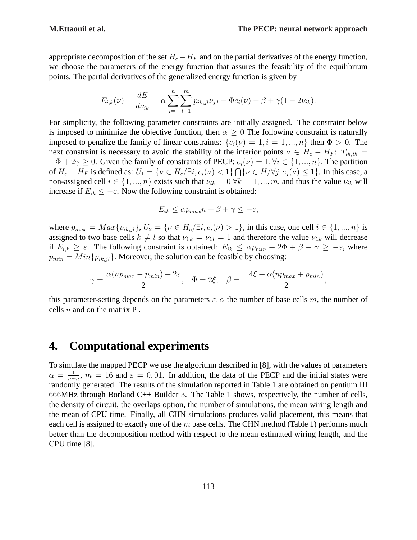appropriate decomposition of the set  $H_c - H_F$  and on the partial derivatives of the energy function, we choose the parameters of the energy function that assures the feasibility of the equilibrium points. The partial derivatives of the generalized energy function is given by

$$
E_{i,k}(\nu) = \frac{dE}{d\nu_{ik}} = \alpha \sum_{j=1}^{n} \sum_{l=1}^{m} p_{ik,jl} \nu_{j,l} + \Phi e_i(\nu) + \beta + \gamma (1 - 2\nu_{ik}).
$$

For simplicity, the following parameter constraints are initially assigned. The constraint below is imposed to minimize the objective function, then  $\alpha \geq 0$  The following constraint is naturally imposed to penalize the family of linear constraints:  $\{e_i(\nu) = 1, i = 1, ..., n\}$  then  $\Phi > 0$ . The next constraint is necessary to avoid the stability of the interior points  $\nu \in H_c - H_F$ :  $T_{ik,ik} =$  $-\Phi + 2\gamma \geq 0$ . Given the family of constraints of PECP:  $e_i(\nu) = 1, \forall i \in \{1, ..., n\}$ . The partition of  $H_c - H_F$  is defined as:  $U_1 = \{ \nu \in H_c / \exists i, e_i(\nu) < 1 \} \cap \{ \nu \in H / \forall j, e_j(\nu) \le 1 \}$ . In this case, a non-assigned cell  $i \in \{1, ..., n\}$  exists such that  $\nu_{ik} = 0 \,\forall k = 1, ..., m$ , and thus the value  $\nu_{ik}$  will increase if  $E_{ik} \le -\varepsilon$ . Now the following constraint is obtained:

$$
E_{ik} \le \alpha p_{max} n + \beta + \gamma \le -\varepsilon,
$$

where  $p_{max} = Max\{p_{ik,jl}\}, U_2 = \{v \in H_c/\exists i, e_i(v) > 1\}$ , in this case, one cell  $i \in \{1, ..., n\}$  is assigned to two base cells  $k \neq l$  so that  $\nu_{i,k} = \nu_{i,l} = 1$  and therefore the value  $\nu_{i,k}$  will decrease if  $E_{i,k} \geq \varepsilon$ . The following constraint is obtained:  $E_{ik} \leq \alpha p_{min} + 2\Phi + \beta - \gamma \geq -\varepsilon$ , where  $p_{min} = Min\{p_{ik,jl}\}.$  Moreover, the solution can be feasible by choosing:

$$
\gamma = \frac{\alpha(np_{max} - p_{min}) + 2\varepsilon}{2}, \quad \Phi = 2\xi, \quad \beta = -\frac{4\xi + \alpha(np_{max} + p_{min})}{2},
$$

this parameter-setting depends on the parameters  $\varepsilon$ ,  $\alpha$  the number of base cells m, the number of cells  $n$  and on the matrix  $P$ .

### **4. Computational experiments**

To simulate the mapped PECP we use the algorithm described in [8], with the values of parameters  $\alpha = \frac{1}{n*1}$  $\frac{1}{n*m}$ ,  $m = 16$  and  $\varepsilon = 0,01$ . In addition, the data of the PECP and the initial states were randomly generated. The results of the simulation reported in Table 1 are obtained on pentium III 666MHz through Borland C++ Builder 3. The Table 1 shows, respectively, the number of cells, the density of circuit, the overlaps option, the number of simulations, the mean wiring length and the mean of CPU time. Finally, all CHN simulations produces valid placement, this means that each cell is assigned to exactly one of the  $m$  base cells. The CHN method (Table 1) performs much better than the decomposition method with respect to the mean estimated wiring length, and the CPU time [8].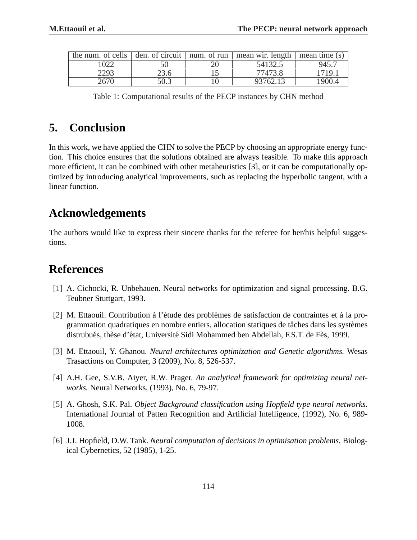|      |      | the num. of cells $\vert$ den. of circuit $\vert$ num. of run $\vert$ mean wir. length $\vert$ | $\vert$ mean time (s) $\vert$ |
|------|------|------------------------------------------------------------------------------------------------|-------------------------------|
| .022 |      | 54132.5                                                                                        | 945.7                         |
| 2293 | 23.6 | 77473.8                                                                                        | 1719.1                        |
| 2670 | 50.3 | 93762.13                                                                                       | 1900 4                        |

Table 1: Computational results of the PECP instances by CHN method

# **5. Conclusion**

In this work, we have applied the CHN to solve the PECP by choosing an appropriate energy function. This choice ensures that the solutions obtained are always feasible. To make this approach more efficient, it can be combined with other metaheuristics [3], or it can be computationally optimized by introducing analytical improvements, such as replacing the hyperbolic tangent, with a linear function.

## **Acknowledgements**

The authors would like to express their sincere thanks for the referee for her/his helpful suggestions.

# **References**

- [1] A. Cichocki, R. Unbehauen. Neural networks for optimization and signal processing. B.G. Teubner Stuttgart, 1993.
- [2] M. Ettaouil. Contribution à l'étude des problèmes de satisfaction de contraintes et à la programmation quadratiques en nombre entiers, allocation statiques de tâches dans les systèmes distrubués, thèse d'état, Université Sidi Mohammed ben Abdellah, F.S.T. de Fès, 1999.
- [3] M. Ettaouil, Y. Ghanou. *Neural architectures optimization and Genetic algorithms.* Wesas Trasactions on Computer, 3 (2009), No. 8, 526-537.
- [4] A.H. Gee, S.V.B. Aiyer, R.W. Prager. *An analytical framework for optimizing neural networks.* Neural Networks, (1993), No. 6, 79-97.
- [5] A. Ghosh, S.K. Pal. *Object Background classification using Hopfield type neural networks.* International Journal of Patten Recognition and Artificial Intelligence, (1992), No. 6, 989- 1008.
- [6] J.J. Hopfield, D.W. Tank. *Neural computation of decisions in optimisation problems.* Biological Cybernetics, 52 (1985), 1-25.